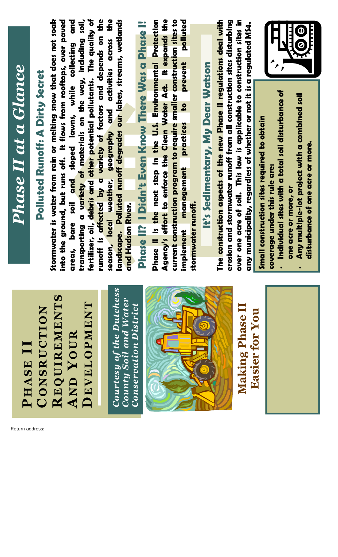| Phase II at a Glance                        | Stormwater is water from rain or melting snow that does not soak<br>into the ground, but runs off. It flows from rooftops, over paved<br><b>Polluted Runoff: A Dirty Secret</b> | fertilizer, oil, debris and other potential pollutants. The quality of<br>and<br>soil,<br>ransporting a v <mark>ariety of m</mark> aterials on the way, including<br>bare soil and sloped lawns, while collecting<br>reas,<br>゙゙゙゚<br>$\overline{\mathbf{C}}$ | unoff is affected by a variety of factors and depends on the<br>landscape. Polluted runoff degrades our lakes, streams, wetlands<br>season, local weather, geography and activities across the<br>Phase II? I Didn't Even Know There Was a Phase I!<br>and Hudson River.<br>Ľ. | Agency's effort to enforce the Clean Water Act. It expands the<br>current construction program to require smaller construction sites to<br>implement management practices to prevent polluted<br>Phase II is the next step in the U.S. Environmental Protection<br>:ormwater runoff.<br>ᅚ | The construction aspects of the new Phase II regulations deal with<br>It's Sedimentary, My Dear Watson | over one acre of soil. This law is applicable to construction sites in<br>erosion and stormwater runoff from all construction sites disturbing | any municipality, regardless of whether or not it is a regulated MS4.<br>Small construction sites required to obtain<br>coverage under this rule are:<br><b>EDIT</b><br>Individual sites with a total soil disturbance of<br>Any multiple-lot project with a combined soil<br>disturbance of one acre or more.<br>one acre or more, or |
|---------------------------------------------|---------------------------------------------------------------------------------------------------------------------------------------------------------------------------------|---------------------------------------------------------------------------------------------------------------------------------------------------------------------------------------------------------------------------------------------------------------|--------------------------------------------------------------------------------------------------------------------------------------------------------------------------------------------------------------------------------------------------------------------------------|-------------------------------------------------------------------------------------------------------------------------------------------------------------------------------------------------------------------------------------------------------------------------------------------|--------------------------------------------------------------------------------------------------------|------------------------------------------------------------------------------------------------------------------------------------------------|----------------------------------------------------------------------------------------------------------------------------------------------------------------------------------------------------------------------------------------------------------------------------------------------------------------------------------------|
| HASE<br>$\blacktriangle$<br>Return address: | $\boldsymbol{\omega}$<br>REQUIREMENT<br>ONSRUCTION<br>$\overline{\mathbf{C}}$                                                                                                   | <b>DEVELOPMENT</b><br>YOUR<br>AND                                                                                                                                                                                                                             | the Dutchess'<br>and Water<br>District<br>Conservation<br><b>County Soil</b><br><b>Courtesy</b>                                                                                                                                                                                |                                                                                                                                                                                                                                                                                           |                                                                                                        | <b>Easier for You</b><br><b>Making Phase</b>                                                                                                   |                                                                                                                                                                                                                                                                                                                                        |